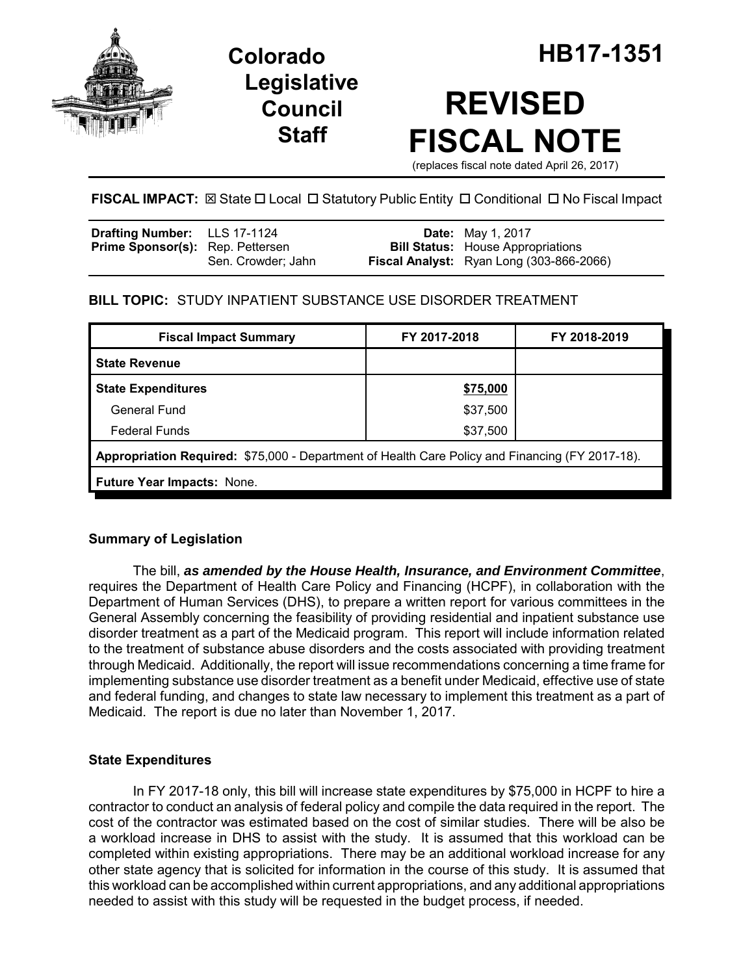

**Legislative Council Staff**

# **REVISED FISCAL NOTE**

(replaces fiscal note dated April 26, 2017)

# **FISCAL IMPACT:** ⊠ State  $\Box$  Local  $\Box$  Statutory Public Entity  $\Box$  Conditional  $\Box$  No Fiscal Impact

| Drafting Number: LLS 17-1124            |                    | <b>Date:</b> May 1, 2017                        |
|-----------------------------------------|--------------------|-------------------------------------------------|
| <b>Prime Sponsor(s):</b> Rep. Pettersen |                    | <b>Bill Status:</b> House Appropriations        |
|                                         | Sen. Crowder: Jahn | <b>Fiscal Analyst:</b> Ryan Long (303-866-2066) |

# **BILL TOPIC:** STUDY INPATIENT SUBSTANCE USE DISORDER TREATMENT

| FY 2017-2018                                                                                    | FY 2018-2019 |  |  |  |  |
|-------------------------------------------------------------------------------------------------|--------------|--|--|--|--|
|                                                                                                 |              |  |  |  |  |
| \$75,000                                                                                        |              |  |  |  |  |
| \$37,500                                                                                        |              |  |  |  |  |
| \$37,500                                                                                        |              |  |  |  |  |
| Appropriation Required: \$75,000 - Department of Health Care Policy and Financing (FY 2017-18). |              |  |  |  |  |
| Future Year Impacts: None.                                                                      |              |  |  |  |  |
|                                                                                                 |              |  |  |  |  |

## **Summary of Legislation**

The bill, *as amended by the House Health, Insurance, and Environment Committee*, requires the Department of Health Care Policy and Financing (HCPF), in collaboration with the Department of Human Services (DHS), to prepare a written report for various committees in the General Assembly concerning the feasibility of providing residential and inpatient substance use disorder treatment as a part of the Medicaid program. This report will include information related to the treatment of substance abuse disorders and the costs associated with providing treatment through Medicaid. Additionally, the report will issue recommendations concerning a time frame for implementing substance use disorder treatment as a benefit under Medicaid, effective use of state and federal funding, and changes to state law necessary to implement this treatment as a part of Medicaid. The report is due no later than November 1, 2017.

## **State Expenditures**

In FY 2017-18 only, this bill will increase state expenditures by \$75,000 in HCPF to hire a contractor to conduct an analysis of federal policy and compile the data required in the report. The cost of the contractor was estimated based on the cost of similar studies. There will be also be a workload increase in DHS to assist with the study. It is assumed that this workload can be completed within existing appropriations. There may be an additional workload increase for any other state agency that is solicited for information in the course of this study. It is assumed that this workload can be accomplished within current appropriations, and any additional appropriations needed to assist with this study will be requested in the budget process, if needed.